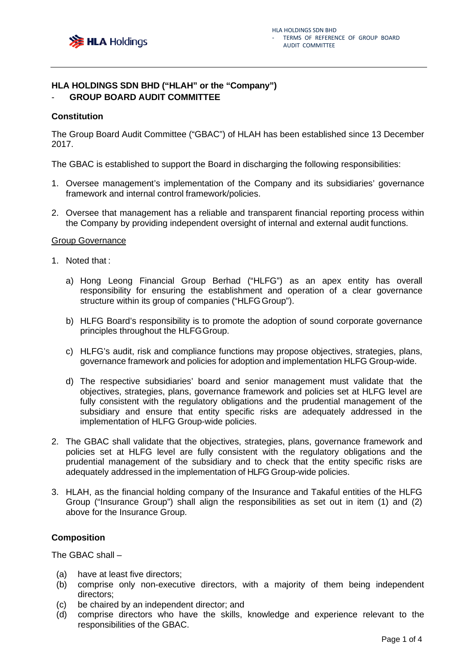# **HLA HOLDINGS SDN BHD ("HLAH" or the "Company") GROUP BOARD AUDIT COMMITTEE**

# **Constitution**

The Group Board Audit Committee ("GBAC") of HLAH has been established since 13 December 2017.

The GBAC is established to support the Board in discharging the following responsibilities:

- 1. Oversee management's implementation of the Company and its subsidiaries' governance framework and internal control framework/policies.
- 2. Oversee that management has a reliable and transparent financial reporting process within the Company by providing independent oversight of internal and external audit functions.

## Group Governance

- 1. Noted that :
	- a) Hong Leong Financial Group Berhad ("HLFG") as an apex entity has overall responsibility for ensuring the establishment and operation of a clear governance structure within its group of companies ("HLFG Group").
	- b) HLFG Board's responsibility is to promote the adoption of sound corporate governance principles throughout the HLFGGroup.
	- c) HLFG's audit, risk and compliance functions may propose objectives, strategies, plans, governance framework and policies for adoption and implementation HLFG Group-wide.
	- d) The respective subsidiaries' board and senior management must validate that the objectives, strategies, plans, governance framework and policies set at HLFG level are fully consistent with the regulatory obligations and the prudential management of the subsidiary and ensure that entity specific risks are adequately addressed in the implementation of HLFG Group-wide policies.
- 2. The GBAC shall validate that the objectives, strategies, plans, governance framework and policies set at HLFG level are fully consistent with the regulatory obligations and the prudential management of the subsidiary and to check that the entity specific risks are adequately addressed in the implementation of HLFG Group-wide policies.
- 3. HLAH, as the financial holding company of the Insurance and Takaful entities of the HLFG Group ("Insurance Group") shall align the responsibilities as set out in item (1) and (2) above for the Insurance Group.

# **Composition**

The GBAC shall –

- (a) have at least five directors;
- (b) comprise only non-executive directors, with a majority of them being independent directors;
- (c) be chaired by an independent director; and
- (d) comprise directors who have the skills, knowledge and experience relevant to the responsibilities of the GBAC.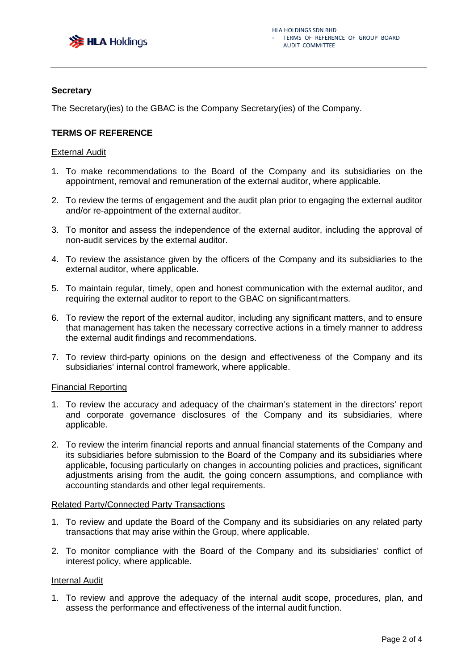

## **Secretary**

The Secretary(ies) to the GBAC is the Company Secretary(ies) of the Company.

# **TERMS OF REFERENCE**

#### External Audit

- 1. To make recommendations to the Board of the Company and its subsidiaries on the appointment, removal and remuneration of the external auditor, where applicable.
- 2. To review the terms of engagement and the audit plan prior to engaging the external auditor and/or re-appointment of the external auditor.
- 3. To monitor and assess the independence of the external auditor, including the approval of non-audit services by the external auditor.
- 4. To review the assistance given by the officers of the Company and its subsidiaries to the external auditor, where applicable.
- 5. To maintain regular, timely, open and honest communication with the external auditor, and requiring the external auditor to report to the GBAC on significant matters.
- 6. To review the report of the external auditor, including any significant matters, and to ensure that management has taken the necessary corrective actions in a timely manner to address the external audit findings and recommendations.
- 7. To review third-party opinions on the design and effectiveness of the Company and its subsidiaries' internal control framework, where applicable.

#### Financial Reporting

- 1. To review the accuracy and adequacy of the chairman's statement in the directors' report and corporate governance disclosures of the Company and its subsidiaries, where applicable.
- 2. To review the interim financial reports and annual financial statements of the Company and its subsidiaries before submission to the Board of the Company and its subsidiaries where applicable, focusing particularly on changes in accounting policies and practices, significant adjustments arising from the audit, the going concern assumptions, and compliance with accounting standards and other legal requirements.

#### Related Party/Connected Party Transactions

- 1. To review and update the Board of the Company and its subsidiaries on any related party transactions that may arise within the Group, where applicable.
- 2. To monitor compliance with the Board of the Company and its subsidiaries' conflict of interest policy, where applicable.

# Internal Audit

1. To review and approve the adequacy of the internal audit scope, procedures, plan, and assess the performance and effectiveness of the internal audit function.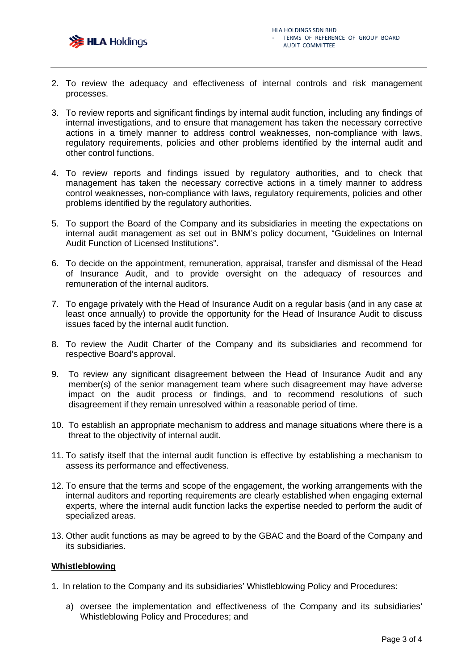

- 2. To review the adequacy and effectiveness of internal controls and risk management processes.
- 3. To review reports and significant findings by internal audit function, including any findings of internal investigations, and to ensure that management has taken the necessary corrective actions in a timely manner to address control weaknesses, non-compliance with laws, regulatory requirements, policies and other problems identified by the internal audit and other control functions.
- 4. To review reports and findings issued by regulatory authorities, and to check that management has taken the necessary corrective actions in a timely manner to address control weaknesses, non-compliance with laws, regulatory requirements, policies and other problems identified by the regulatory authorities.
- 5. To support the Board of the Company and its subsidiaries in meeting the expectations on internal audit management as set out in BNM's policy document, "Guidelines on Internal Audit Function of Licensed Institutions".
- 6. To decide on the appointment, remuneration, appraisal, transfer and dismissal of the Head of Insurance Audit, and to provide oversight on the adequacy of resources and remuneration of the internal auditors.
- 7. To engage privately with the Head of Insurance Audit on a regular basis (and in any case at least once annually) to provide the opportunity for the Head of Insurance Audit to discuss issues faced by the internal audit function.
- 8. To review the Audit Charter of the Company and its subsidiaries and recommend for respective Board's approval.
- 9. To review any significant disagreement between the Head of Insurance Audit and any member(s) of the senior management team where such disagreement may have adverse impact on the audit process or findings, and to recommend resolutions of such disagreement if they remain unresolved within a reasonable period of time.
- 10. To establish an appropriate mechanism to address and manage situations where there is a threat to the objectivity of internal audit.
- 11. To satisfy itself that the internal audit function is effective by establishing a mechanism to assess its performance and effectiveness.
- 12. To ensure that the terms and scope of the engagement, the working arrangements with the internal auditors and reporting requirements are clearly established when engaging external experts, where the internal audit function lacks the expertise needed to perform the audit of specialized areas.
- 13. Other audit functions as may be agreed to by the GBAC and the Board of the Company and its subsidiaries.

# **Whistleblowing**

- 1. In relation to the Company and its subsidiaries' Whistleblowing Policy and Procedures:
	- a) oversee the implementation and effectiveness of the Company and its subsidiaries' Whistleblowing Policy and Procedures; and